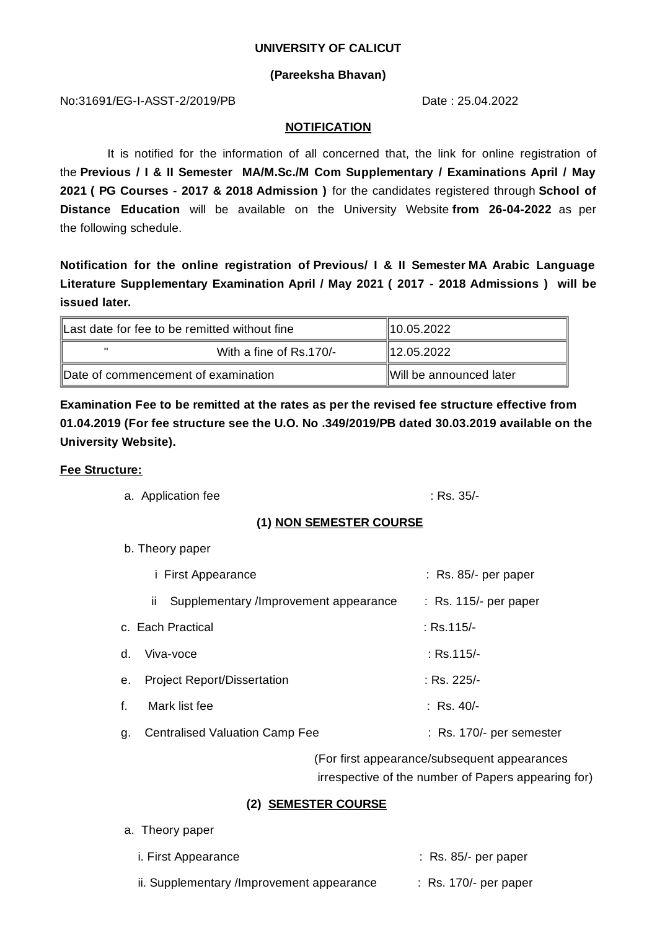#### **UNIVERSITY OF CALICUT**

## **(Pareeksha Bhavan)**

No:31691/EG-I-ASST-2/2019/PB Date : 25.04.2022

### **NOTIFICATION**

It is notified for the information of all concerned that, the link for online registration of the **Previous / I & II Semester MA/M.Sc./M Com Supplementary / Examinations April / May 2021 ( PG Courses - 2017 & 2018 Admission )** for the candidates registered through **School of Distance Education** will be available on the University Website **from 26-04-2022** as per the following schedule.

**Notification for the online registration of Previous/ I & II Semester MA Arabic Language Literature Supplementary Examination April / May 2021 ( 2017 - 2018 Admissions ) will be issued later.**

| Last date for fee to be remitted without fine |                                     | 10.05.2022              |
|-----------------------------------------------|-------------------------------------|-------------------------|
| $\mathbf{u}$                                  | With a fine of Rs.170/-             | 12.05.2022              |
|                                               | Date of commencement of examination | Will be announced later |

**Examination Fee to be remitted at the rates as per the revised fee structure effective from 01.04.2019 (For fee structure see the U.O. No .349/2019/PB dated 30.03.2019 available on the University Website).**

## **Fee Structure:**

a. Application fee : Rs. 35/-

# **(1) NON SEMESTER COURSE**

b. Theory paper

| <i>i</i> First Appearance |                                                       | $:$ Rs. 85/- per paper   |
|---------------------------|-------------------------------------------------------|--------------------------|
|                           | Supplementary /Improvement appearance<br>$\mathbf{H}$ | $:$ Rs. 115/- per paper  |
|                           | c. Each Practical                                     | $:$ Rs.115/-             |
| d.                        | Viva-voce                                             | : Rs.115/-               |
| e.                        | <b>Project Report/Dissertation</b>                    | : Rs. 225/-              |
| f.                        | Mark list fee                                         | : Rs. 40/-               |
| g.                        | <b>Centralised Valuation Camp Fee</b>                 | : Rs. 170/- per semester |

(For first appearance/subsequent appearances irrespective of the number of Papers appearing for)

# **(2) SEMESTER COURSE**

a. Theory paper

| <i>i.</i> First Appearance                | $:$ Rs. 85/- per paper           |
|-------------------------------------------|----------------------------------|
| ii. Supplementary /Improvement appearance | $\therefore$ Rs. 170/- per paper |